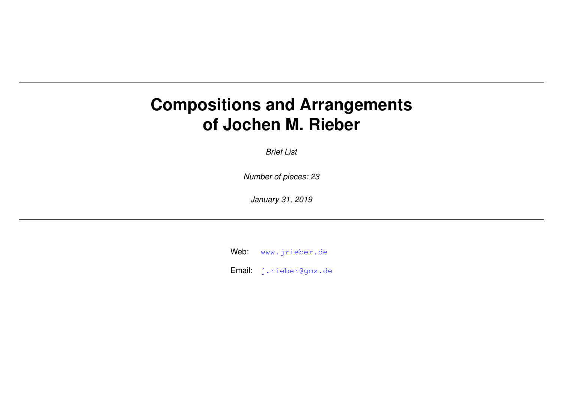## **Compositions and Arrangements of Jochen M. Rieber**

*Brief List*

*Number of pieces: 23*

*January 31, 2019*

Web: [www.jrieber.de](http://www.jrieber.de)

Email: [j.rieber@gmx.de](mailto:j.rieber@gmx.de)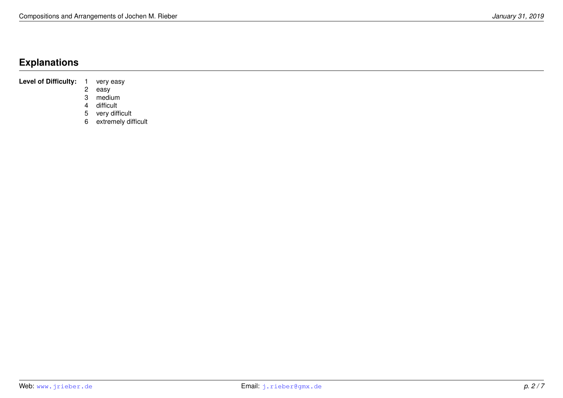## **Explanations**

**Level of Difficulty:** 1 very easy<br>2 easy

easy

3 medium

4 difficult

5 very difficult

6 extremely difficult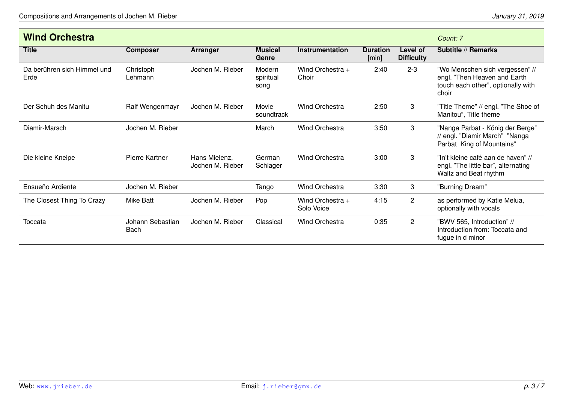| <b>Wind Orchestra</b>               |                          |                                   |                             |                                |                          |                               | Count: 7                                                                                                       |
|-------------------------------------|--------------------------|-----------------------------------|-----------------------------|--------------------------------|--------------------------|-------------------------------|----------------------------------------------------------------------------------------------------------------|
| <b>Title</b>                        | <b>Composer</b>          | Arranger                          | <b>Musical</b><br>Genre     | <b>Instrumentation</b>         | <b>Duration</b><br>[min] | Level of<br><b>Difficulty</b> | Subtitle // Remarks                                                                                            |
| Da berühren sich Himmel und<br>Erde | Christoph<br>Lehmann     | Jochen M. Rieber                  | Modern<br>spiritual<br>song | Wind Orchestra +<br>Choir      | 2:40                     | $2 - 3$                       | "Wo Menschen sich vergessen" //<br>engl. "Then Heaven and Earth<br>touch each other", optionally with<br>choir |
| Der Schuh des Manitu                | Ralf Wengenmayr          | Jochen M. Rieber                  | Movie<br>soundtrack         | <b>Wind Orchestra</b>          | 2:50                     | 3                             | "Title Theme" // engl. "The Shoe of<br>Manitou", Title theme                                                   |
| Diamir-Marsch                       | Jochen M. Rieber         |                                   | March                       | <b>Wind Orchestra</b>          | 3:50                     | 3                             | "Nanga Parbat - König der Berge"<br>// engl. "Diamir March" "Nanga<br>Parbat King of Mountains"                |
| Die kleine Kneipe                   | Pierre Kartner           | Hans Mielenz,<br>Jochen M. Rieber | German<br>Schlager          | <b>Wind Orchestra</b>          | 3:00                     | 3                             | "In't kleine café aan de haven" //<br>engl. "The little bar", alternating<br>Waltz and Beat rhythm             |
| Ensueño Ardiente                    | Jochen M. Rieber         |                                   | Tango                       | <b>Wind Orchestra</b>          | 3:30                     | 3                             | "Burning Dream"                                                                                                |
| The Closest Thing To Crazy          | Mike Batt                | Jochen M. Rieber                  | Pop                         | Wind Orchestra +<br>Solo Voice | 4:15                     | $\overline{c}$                | as performed by Katie Melua,<br>optionally with vocals                                                         |
| Toccata                             | Johann Sebastian<br>Bach | Jochen M. Rieber                  | Classical                   | <b>Wind Orchestra</b>          | 0:35                     | $\mathbf{2}$                  | "BWV 565, Introduction" //<br>Introduction from: Toccata and<br>fugue in d minor                               |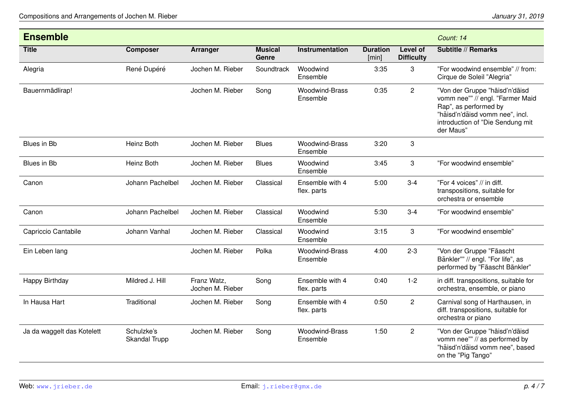| <b>Ensemble</b>            |                             |                                 |                         |                                   |                          |                                      | Count: 14                                                                                                                                                                       |
|----------------------------|-----------------------------|---------------------------------|-------------------------|-----------------------------------|--------------------------|--------------------------------------|---------------------------------------------------------------------------------------------------------------------------------------------------------------------------------|
| <b>Title</b>               | <b>Composer</b>             | <b>Arranger</b>                 | <b>Musical</b><br>Genre | Instrumentation                   | <b>Duration</b><br>[min] | <b>Level of</b><br><b>Difficulty</b> | <b>Subtitle // Remarks</b>                                                                                                                                                      |
| Alegria                    | René Dupéré                 | Jochen M. Rieber                | Soundtrack              | Woodwind<br>Ensemble              | 3:35                     | 3                                    | "For woodwind ensemble" // from:<br>Cirque de Soleil "Alegria"                                                                                                                  |
| Bauernmädlirap!            |                             | Jochen M. Rieber                | Song                    | <b>Woodwind-Brass</b><br>Ensemble | 0:35                     | $\overline{2}$                       | "Von der Gruppe "häisd'n'däisd<br>vomm nee"" // engl. "Farmer Maid<br>Rap", as performed by<br>"häisd'n'däisd vomm nee", incl.<br>introduction of "Die Sendung mit<br>der Maus" |
| Blues in Bb                | Heinz Both                  | Jochen M. Rieber                | <b>Blues</b>            | <b>Woodwind-Brass</b><br>Ensemble | 3:20                     | 3                                    |                                                                                                                                                                                 |
| Blues in Bb                | Heinz Both                  | Jochen M. Rieber                | <b>Blues</b>            | Woodwind<br>Ensemble              | 3:45                     | 3                                    | "For woodwind ensemble"                                                                                                                                                         |
| Canon                      | Johann Pachelbel            | Jochen M. Rieber                | Classical               | Ensemble with 4<br>flex. parts    | 5:00                     | $3 - 4$                              | "For 4 voices" // in diff.<br>transpositions, suitable for<br>orchestra or ensemble                                                                                             |
| Canon                      | Johann Pachelbel            | Jochen M. Rieber                | Classical               | Woodwind<br>Ensemble              | 5:30                     | $3 - 4$                              | "For woodwind ensemble"                                                                                                                                                         |
| Capriccio Cantabile        | Johann Vanhal               | Jochen M. Rieber                | Classical               | Woodwind<br>Ensemble              | 3:15                     | 3                                    | "For woodwind ensemble"                                                                                                                                                         |
| Ein Leben lang             |                             | Jochen M. Rieber                | Polka                   | <b>Woodwind-Brass</b><br>Ensemble | 4:00                     | $2 - 3$                              | "Von der Gruppe "Fäascht<br>Bänkler"" // engl. "For life", as<br>performed by "Fäascht Bänkler"                                                                                 |
| Happy Birthday             | Mildred J. Hill             | Franz Watz,<br>Jochen M. Rieber | Song                    | Ensemble with 4<br>flex. parts    | 0:40                     | $1-2$                                | in diff. transpositions, suitable for<br>orchestra, ensemble, or piano                                                                                                          |
| In Hausa Hart              | Traditional                 | Jochen M. Rieber                | Song                    | Ensemble with 4<br>flex. parts    | 0:50                     | $\overline{2}$                       | Carnival song of Harthausen, in<br>diff. transpositions, suitable for<br>orchestra or piano                                                                                     |
| Ja da waggelt das Kotelett | Schulzke's<br>Skandal Trupp | Jochen M. Rieber                | Song                    | <b>Woodwind-Brass</b><br>Ensemble | 1:50                     | $\overline{2}$                       | "Von der Gruppe "häisd'n'däisd<br>vomm nee"" // as performed by<br>"häisd'n'däisd vomm nee", based<br>on the "Pig Tango"                                                        |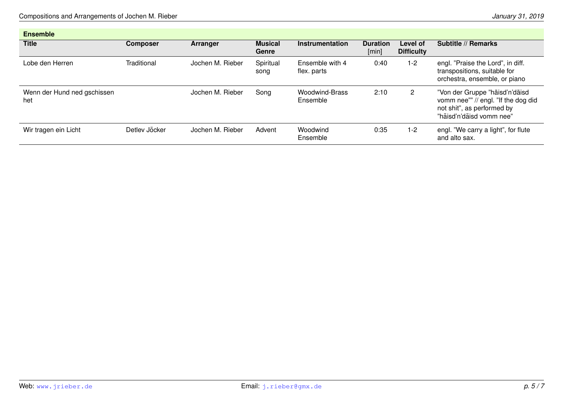| <b>Ensemble</b>                    |                 |                  |                         |                                   |                          |                               |                                                                                                                                 |
|------------------------------------|-----------------|------------------|-------------------------|-----------------------------------|--------------------------|-------------------------------|---------------------------------------------------------------------------------------------------------------------------------|
| <b>Title</b>                       | <b>Composer</b> | Arranger         | <b>Musical</b><br>Genre | Instrumentation                   | <b>Duration</b><br>[min] | Level of<br><b>Difficulty</b> | Subtitle // Remarks                                                                                                             |
| Lobe den Herren.                   | Traditional     | Jochen M. Rieber | Spiritual<br>song       | Ensemble with 4<br>flex. parts    | 0:40                     | $1 - 2$                       | engl. "Praise the Lord", in diff.<br>transpositions, suitable for<br>orchestra, ensemble, or piano                              |
| Wenn der Hund ned gschissen<br>het |                 | Jochen M. Rieber | Song                    | <b>Woodwind-Brass</b><br>Ensemble | 2:10                     | $\mathbf{2}^{\circ}$          | "Von der Gruppe "häisd'n'däisd<br>vomm nee"" // engl. "If the dog did<br>not shit", as performed by<br>"häisd'n'däisd vomm nee" |
| Wir tragen ein Licht               | Detlev Jöcker   | Jochen M. Rieber | Advent                  | Woodwind<br>Ensemble              | 0:35                     | 1-2                           | engl. "We carry a light", for flute<br>and alto sax.                                                                            |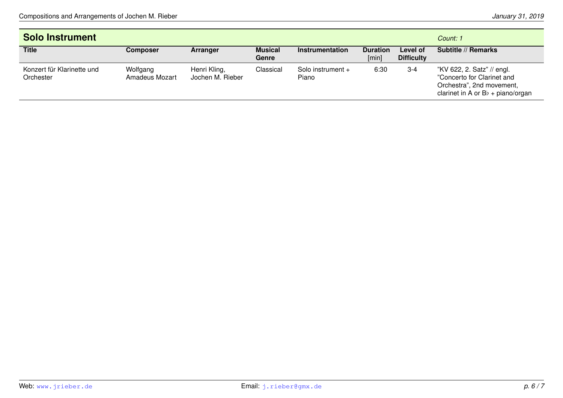| <b>Solo Instrument</b>                  | Count: 1                   |                                  |                         |                            |                          |                               |                                                                                                                              |
|-----------------------------------------|----------------------------|----------------------------------|-------------------------|----------------------------|--------------------------|-------------------------------|------------------------------------------------------------------------------------------------------------------------------|
| <b>Title</b>                            | <b>Composer</b>            | Arranger                         | <b>Musical</b><br>Genre | Instrumentation            | <b>Duration</b><br>[min] | Level of<br><b>Difficulty</b> | Subtitle // Remarks                                                                                                          |
| Konzert für Klarinette und<br>Orchester | Wolfgang<br>Amadeus Mozart | Henri Kling,<br>Jochen M. Rieber | Classical               | Solo instrument +<br>Piano | 6:30                     | $3 - 4$                       | "KV 622, 2. Satz" // engl.<br>"Concerto for Clarinet and<br>Orchestra", 2nd movement,<br>clarinet in A or $Bb + piano/crgan$ |